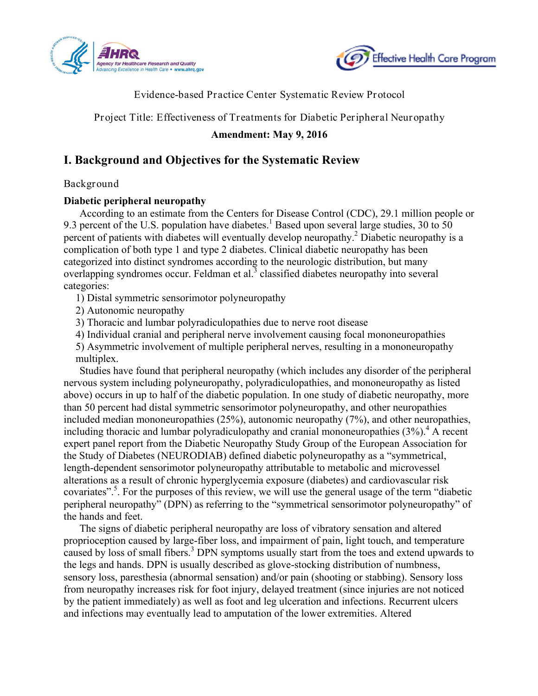



### Evidence-based Practice Center Systematic Review Protocol

Project Title: Effectiveness of Treatments for Diabetic Peripheral Neuropathy

#### **Amendment: May 9, 2016**

### **I. Background and Objectives for the Systematic Review**

#### Background

#### **Diabetic peripheral neuropathy**

According to an estimate from the Centers for Disease Control (CDC), 29.1 million people or 9.3 percent of the U.S. population have diabetes.<sup>1</sup> Based upon several large studies, 30 to 50 percent of patients with diabetes will eventually develop neuropathy.2 Diabetic neuropathy is a complication of both type 1 and type 2 diabetes. Clinical diabetic neuropathy has been categorized into distinct syndromes according to the neurologic distribution, but many overlapping syndromes occur. Feldman et al.<sup>3</sup> classified diabetes neuropathy into several categories:

1) Distal symmetric sensorimotor polyneuropathy

2) Autonomic neuropathy

3) Thoracic and lumbar polyradiculopathies due to nerve root disease

4) Individual cranial and peripheral nerve involvement causing focal mononeuropathies

5) Asymmetric involvement of multiple peripheral nerves, resulting in a mononeuropathy multiplex.

Studies have found that peripheral neuropathy (which includes any disorder of the peripheral nervous system including polyneuropathy, polyradiculopathies, and mononeuropathy as listed above) occurs in up to half of the diabetic population. In one study of diabetic neuropathy, more than 50 percent had distal symmetric sensorimotor polyneuropathy, and other neuropathies included median mononeuropathies (25%), autonomic neuropathy (7%), and other neuropathies, including thoracic and lumbar polyradiculopathy and cranial mononeuropathies  $(3\%)$ <sup>4</sup>. A recent expert panel report from the Diabetic Neuropathy Study Group of the European Association for the Study of Diabetes (NEURODIAB) defined diabetic polyneuropathy as a "symmetrical, length-dependent sensorimotor polyneuropathy attributable to metabolic and microvessel alterations as a result of chronic hyperglycemia exposure (diabetes) and cardiovascular risk covariates".<sup>5</sup>. For the purposes of this review, we will use the general usage of the term "diabetic" peripheral neuropathy" (DPN) as referring to the "symmetrical sensorimotor polyneuropathy" of the hands and feet.

The signs of diabetic peripheral neuropathy are loss of vibratory sensation and altered proprioception caused by large-fiber loss, and impairment of pain, light touch, and temperature caused by loss of small fibers.<sup>3</sup> DPN symptoms usually start from the toes and extend upwards to the legs and hands. DPN is usually described as glove-stocking distribution of numbness, sensory loss, paresthesia (abnormal sensation) and/or pain (shooting or stabbing). Sensory loss from neuropathy increases risk for foot injury, delayed treatment (since injuries are not noticed by the patient immediately) as well as foot and leg ulceration and infections. Recurrent ulcers and infections may eventually lead to amputation of the lower extremities. Altered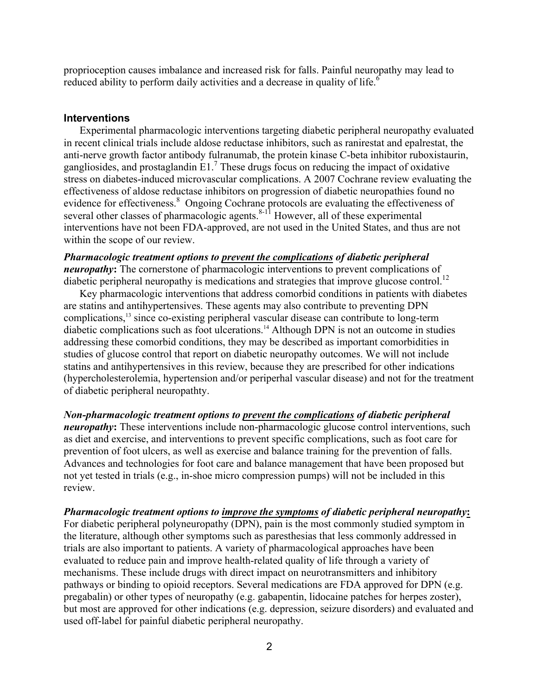proprioception causes imbalance and increased risk for falls. Painful neuropathy may lead to reduced ability to perform daily activities and a decrease in quality of life.<sup>6</sup>

#### **Interventions**

 evidence for effectiveness. 8 Ongoing Cochrane protocols are evaluating the effectiveness of Experimental pharmacologic interventions targeting diabetic peripheral neuropathy evaluated in recent clinical trials include aldose reductase inhibitors, such as ranirestat and epalrestat, the anti-nerve growth factor antibody fulranumab, the protein kinase C-beta inhibitor ruboxistaurin, gangliosides, and prostaglandin E1.7 These drugs focus on reducing the impact of oxidative stress on diabetes-induced microvascular complications. A 2007 Cochrane review evaluating the effectiveness of aldose reductase inhibitors on progression of diabetic neuropathies found no several other classes of pharmacologic agents. $8-11$  However, all of these experimental interventions have not been FDA-approved, are not used in the United States, and thus are not within the scope of our review.

#### *Pharmacologic treatment options to prevent the complications of diabetic peripheral neuropathy*: The cornerstone of pharmacologic interventions to prevent complications of diabetic peripheral neuropathy is medications and strategies that improve glucose control.<sup>12</sup>

Key pharmacologic interventions that address comorbid conditions in patients with diabetes are statins and antihypertensives. These agents may also contribute to preventing DPN complications,<sup>13</sup> since co-existing peripheral vascular disease can contribute to long-term diabetic complications such as foot ulcerations. 14 Although DPN is not an outcome in studies addressing these comorbid conditions, they may be described as important comorbidities in studies of glucose control that report on diabetic neuropathy outcomes. We will not include statins and antihypertensives in this review, because they are prescribed for other indications (hypercholesterolemia, hypertension and/or periperhal vascular disease) and not for the treatment of diabetic peripheral neuropathty.

*Non-pharmacologic treatment options to prevent the complications of diabetic peripheral neuropathy*: These interventions include non-pharmacologic glucose control interventions, such as diet and exercise, and interventions to prevent specific complications, such as foot care for prevention of foot ulcers, as well as exercise and balance training for the prevention of falls. Advances and technologies for foot care and balance management that have been proposed but not yet tested in trials (e.g., in-shoe micro compression pumps) will not be included in this review.

*Pharmacologic treatment options to improve the symptoms of diabetic peripheral neuropathy***:**  For diabetic peripheral polyneuropathy (DPN), pain is the most commonly studied symptom in the literature, although other symptoms such as paresthesias that less commonly addressed in trials are also important to patients. A variety of pharmacological approaches have been evaluated to reduce pain and improve health-related quality of life through a variety of mechanisms. These include drugs with direct impact on neurotransmitters and inhibitory pathways or binding to opioid receptors. Several medications are FDA approved for DPN (e.g. pregabalin) or other types of neuropathy (e.g. gabapentin, lidocaine patches for herpes zoster), but most are approved for other indications (e.g. depression, seizure disorders) and evaluated and used off-label for painful diabetic peripheral neuropathy.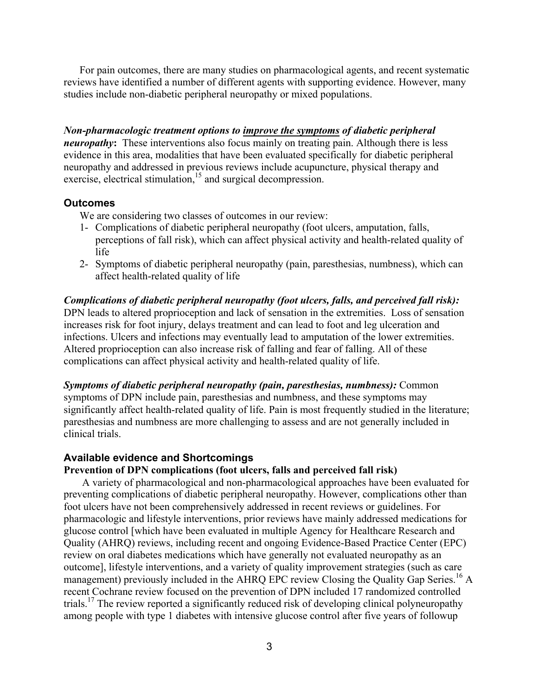For pain outcomes, there are many studies on pharmacological agents, and recent systematic reviews have identified a number of different agents with supporting evidence. However, many studies include non-diabetic peripheral neuropathy or mixed populations.

 *neuropathy***:** These interventions also focus mainly on treating pain. Although there is less *Non-pharmacologic treatment options to improve the symptoms of diabetic peripheral*  evidence in this area, modalities that have been evaluated specifically for diabetic peripheral neuropathy and addressed in previous reviews include acupuncture, physical therapy and exercise, electrical stimulation, $15$  and surgical decompression.

#### **Outcomes**

We are considering two classes of outcomes in our review:

- 1- Complications of diabetic peripheral neuropathy (foot ulcers, amputation, falls, perceptions of fall risk), which can affect physical activity and health-related quality of life
- 2- Symptoms of diabetic peripheral neuropathy (pain, paresthesias, numbness), which can affect health-related quality of life

*Complications of diabetic peripheral neuropathy (foot ulcers, falls, and perceived fall risk):*  DPN leads to altered proprioception and lack of sensation in the extremities. Loss of sensation increases risk for foot injury, delays treatment and can lead to foot and leg ulceration and infections. Ulcers and infections may eventually lead to amputation of the lower extremities. Altered proprioception can also increase risk of falling and fear of falling. All of these complications can affect physical activity and health-related quality of life.

*Symptoms of diabetic peripheral neuropathy (pain, paresthesias, numbness):* Common symptoms of DPN include pain, paresthesias and numbness, and these symptoms may significantly affect health-related quality of life. Pain is most frequently studied in the literature; paresthesias and numbness are more challenging to assess and are not generally included in clinical trials.

#### **Available evidence and Shortcomings**

#### **Prevention of DPN complications (foot ulcers, falls and perceived fall risk)**

A variety of pharmacological and non-pharmacological approaches have been evaluated for preventing complications of diabetic peripheral neuropathy. However, complications other than foot ulcers have not been comprehensively addressed in recent reviews or guidelines. For pharmacologic and lifestyle interventions, prior reviews have mainly addressed medications for glucose control [which have been evaluated in multiple Agency for Healthcare Research and Quality (AHRQ) reviews, including recent and ongoing Evidence-Based Practice Center (EPC) review on oral diabetes medications which have generally not evaluated neuropathy as an outcome], lifestyle interventions, and a variety of quality improvement strategies (such as care management) previously included in the AHRQ EPC review Closing the Quality Gap Series.<sup>16</sup> A recent Cochrane review focused on the prevention of DPN included 17 randomized controlled trials.<sup>17</sup> The review reported a significantly reduced risk of developing clinical polyneuropathy among people with type 1 diabetes with intensive glucose control after five years of followup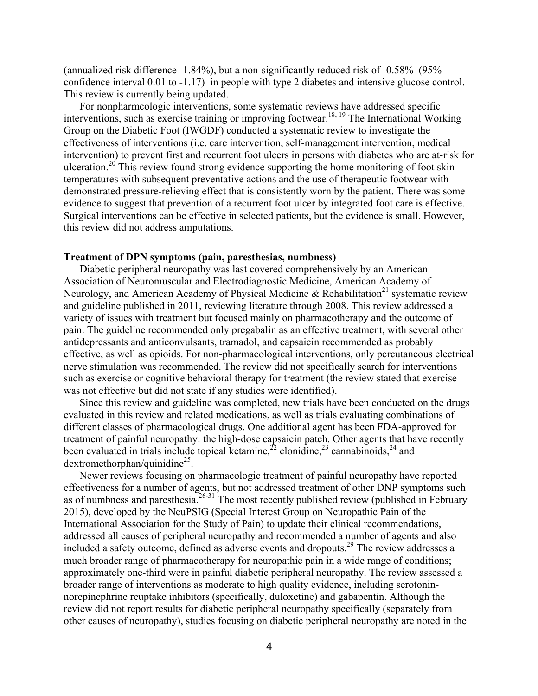(annualized risk difference -1.84%), but a non-significantly reduced risk of -0.58% (95% confidence interval 0.01 to -1.17) in people with type 2 diabetes and intensive glucose control. This review is currently being updated.

For nonpharmcologic interventions, some systematic reviews have addressed specific interventions, such as exercise training or improving footwear.<sup>18, 19</sup> The International Working Group on the Diabetic Foot (IWGDF) conducted a systematic review to investigate the effectiveness of interventions (i.e. care intervention, self-management intervention, medical intervention) to prevent first and recurrent foot ulcers in persons with diabetes who are at-risk for ulceration.<sup>20</sup> This review found strong evidence supporting the home monitoring of foot skin temperatures with subsequent preventative actions and the use of therapeutic footwear with demonstrated pressure-relieving effect that is consistently worn by the patient. There was some evidence to suggest that prevention of a recurrent foot ulcer by integrated foot care is effective. Surgical interventions can be effective in selected patients, but the evidence is small. However, this review did not address amputations.

#### **Treatment of DPN symptoms (pain, paresthesias, numbness)**

Diabetic peripheral neuropathy was last covered comprehensively by an American Association of Neuromuscular and Electrodiagnostic Medicine, American Academy of Neurology, and American Academy of Physical Medicine & Rehabilitation<sup>21</sup> systematic review and guideline published in 2011, reviewing literature through 2008. This review addressed a variety of issues with treatment but focused mainly on pharmacotherapy and the outcome of pain. The guideline recommended only pregabalin as an effective treatment, with several other antidepressants and anticonvulsants, tramadol, and capsaicin recommended as probably effective, as well as opioids. For non-pharmacological interventions, only percutaneous electrical nerve stimulation was recommended. The review did not specifically search for interventions such as exercise or cognitive behavioral therapy for treatment (the review stated that exercise was not effective but did not state if any studies were identified).

Since this review and guideline was completed, new trials have been conducted on the drugs evaluated in this review and related medications, as well as trials evaluating combinations of different classes of pharmacological drugs. One additional agent has been FDA-approved for treatment of painful neuropathy: the high-dose capsaicin patch. Other agents that have recently been evaluated in trials include topical ketamine,<sup>22</sup> clonidine,<sup>23</sup> cannabinoids,<sup>24</sup> and  $d$ extromethorphan/quinidine<sup>25</sup>.

Newer reviews focusing on pharmacologic treatment of painful neuropathy have reported effectiveness for a number of agents, but not addressed treatment of other DNP symptoms such as of numbness and paresthesia.<sup>26-31</sup> The most recently published review (published in February 2015), developed by the NeuPSIG (Special Interest Group on Neuropathic Pain of the International Association for the Study of Pain) to update their clinical recommendations, addressed all causes of peripheral neuropathy and recommended a number of agents and also included a safety outcome, defined as adverse events and dropouts.29 The review addresses a much broader range of pharmacotherapy for neuropathic pain in a wide range of conditions; approximately one-third were in painful diabetic peripheral neuropathy. The review assessed a broader range of interventions as moderate to high quality evidence, including serotoninnorepinephrine reuptake inhibitors (specifically, duloxetine) and gabapentin. Although the review did not report results for diabetic peripheral neuropathy specifically (separately from other causes of neuropathy), studies focusing on diabetic peripheral neuropathy are noted in the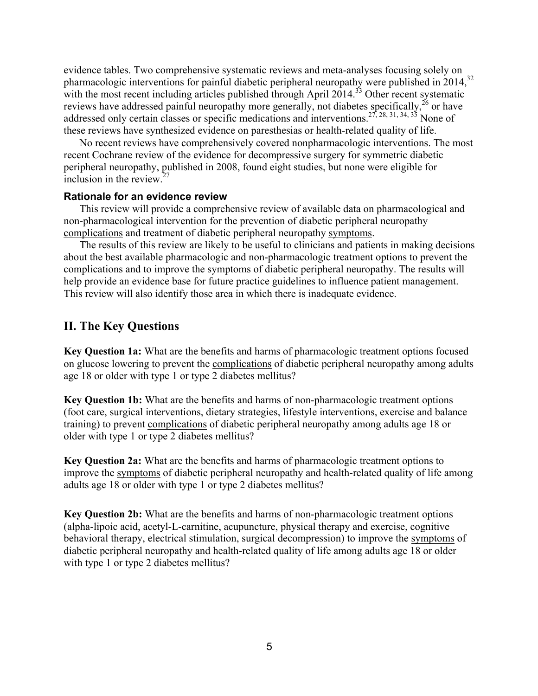evidence tables. Two comprehensive systematic reviews and meta-analyses focusing solely on pharmacologic interventions for painful diabetic peripheral neuropathy were published in 2014,<sup>32</sup> with the most recent including articles published through April  $2014$ <sup>33</sup> Other recent systematic reviews have addressed painful neuropathy more generally, not diabetes specifically,<sup>26</sup> or have addressed only certain classes or specific medications and interventions.<sup>27, 28, 31, 34, 35</sup> None of these reviews have synthesized evidence on paresthesias or health-related quality of life.

No recent reviews have comprehensively covered nonpharmacologic interventions. The most recent Cochrane review of the evidence for decompressive surgery for symmetric diabetic peripheral neuropathy, published in 2008, found eight studies, but none were eligible for inclusion in the review  $27$ 

#### **Rationale for an evidence review**

This review will provide a comprehensive review of available data on pharmacological and non-pharmacological intervention for the prevention of diabetic peripheral neuropathy complications and treatment of diabetic peripheral neuropathy symptoms.

The results of this review are likely to be useful to clinicians and patients in making decisions about the best available pharmacologic and non-pharmacologic treatment options to prevent the complications and to improve the symptoms of diabetic peripheral neuropathy. The results will help provide an evidence base for future practice guidelines to influence patient management. This review will also identify those area in which there is inadequate evidence.

#### **II. The Key Questions**

**Key Question 1a:** What are the benefits and harms of pharmacologic treatment options focused on glucose lowering to prevent the complications of diabetic peripheral neuropathy among adults age 18 or older with type 1 or type 2 diabetes mellitus?

**Key Question 1b:** What are the benefits and harms of non-pharmacologic treatment options (foot care, surgical interventions, dietary strategies, lifestyle interventions, exercise and balance training) to prevent complications of diabetic peripheral neuropathy among adults age 18 or older with type 1 or type 2 diabetes mellitus?

**Key Question 2a:** What are the benefits and harms of pharmacologic treatment options to improve the symptoms of diabetic peripheral neuropathy and health-related quality of life among adults age 18 or older with type 1 or type 2 diabetes mellitus?

**Key Question 2b:** What are the benefits and harms of non-pharmacologic treatment options (alpha-lipoic acid, acetyl-L-carnitine, acupuncture, physical therapy and exercise, cognitive behavioral therapy, electrical stimulation, surgical decompression) to improve the symptoms of diabetic peripheral neuropathy and health-related quality of life among adults age 18 or older with type 1 or type 2 diabetes mellitus?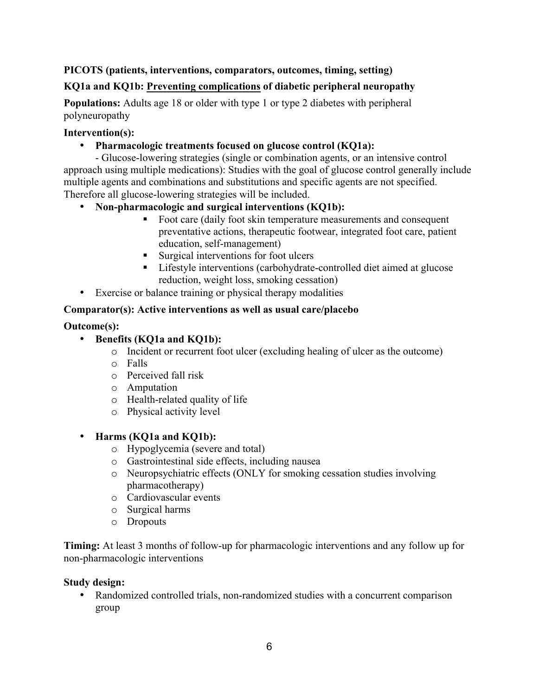### **PICOTS (patients, interventions, comparators, outcomes, timing, setting)**

### **KQ1a and KQ1b: Preventing complications of diabetic peripheral neuropathy**

**Populations:** Adults age 18 or older with type 1 or type 2 diabetes with peripheral polyneuropathy

#### **Intervention(s):**

#### • **Pharmacologic treatments focused on glucose control (KQ1a):**

- Glucose-lowering strategies (single or combination agents, or an intensive control approach using multiple medications): Studies with the goal of glucose control generally include multiple agents and combinations and substitutions and specific agents are not specified. Therefore all glucose-lowering strategies will be included.

### • **Non-pharmacologic and surgical interventions (KQ1b):**

- Foot care (daily foot skin temperature measurements and consequent preventative actions, therapeutic footwear, integrated foot care, patient education, self-management)
- Surgical interventions for foot ulcers
- Lifestyle interventions (carbohydrate-controlled diet aimed at glucose reduction, weight loss, smoking cessation)
- Exercise or balance training or physical therapy modalities

#### **Comparator(s): Active interventions as well as usual care/placebo**

#### **Outcome(s):**

### • **Benefits (KQ1a and KQ1b):**

- o Incident or recurrent foot ulcer (excluding healing of ulcer as the outcome)
- o Falls
- $\circ$  Perceived fall risk
- o Amputation
- o Health-related quality of life
- o Physical activity level

#### • **Harms (KQ1a and KQ1b):**

- o Hypoglycemia (severe and total)
- o Gastrointestinal side effects, including nausea
- o Neuropsychiatric effects (ONLY for smoking cessation studies involving pharmacotherapy)
- o Cardiovascular events
- o Surgical harms
- o Dropouts

**Timing:** At least 3 months of follow-up for pharmacologic interventions and any follow up for non-pharmacologic interventions

#### **Study design:**

• Randomized controlled trials, non-randomized studies with a concurrent comparison group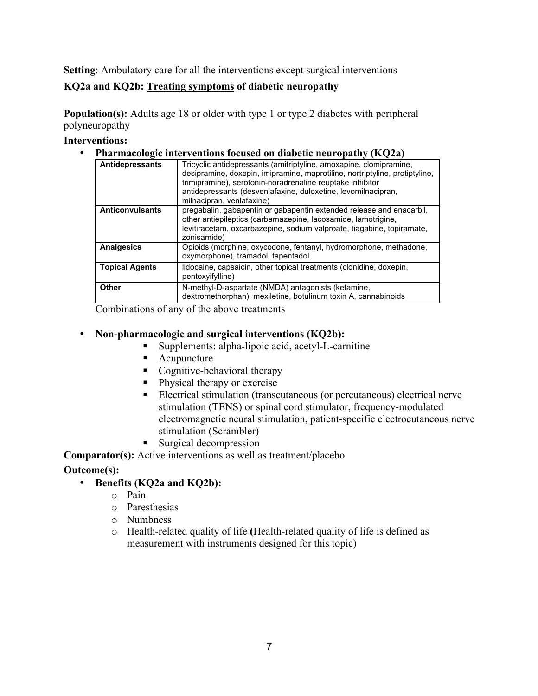**Setting**: Ambulatory care for all the interventions except surgical interventions

#### **KQ2a and KQ2b: Treating symptoms of diabetic neuropathy**

**Population(s):** Adults age 18 or older with type 1 or type 2 diabetes with peripheral polyneuropathy

#### **Interventions:**

• **Pharmacologic interventions focused on diabetic neuropathy (KQ2a)** 

| Antidepressants        | Tricyclic antidepressants (amitriptyline, amoxapine, clomipramine,<br>desipramine, doxepin, imipramine, maprotiline, nortriptyline, protiptyline,<br>trimipramine), serotonin-noradrenaline reuptake inhibitor<br>antidepressants (desvenlafaxine, duloxetine, levomilnacipran,<br>milnacipran, venlafaxine) |
|------------------------|--------------------------------------------------------------------------------------------------------------------------------------------------------------------------------------------------------------------------------------------------------------------------------------------------------------|
| <b>Anticonvulsants</b> | pregabalin, gabapentin or gabapentin extended release and enacarbil,<br>other antiepileptics (carbamazepine, lacosamide, lamotrigine,<br>levitiracetam, oxcarbazepine, sodium valproate, tiagabine, topiramate,<br>zonisamide)                                                                               |
| <b>Analgesics</b>      | Opioids (morphine, oxycodone, fentanyl, hydromorphone, methadone,<br>oxymorphone), tramadol, tapentadol                                                                                                                                                                                                      |
| <b>Topical Agents</b>  | lidocaine, capsaicin, other topical treatments (clonidine, doxepin,<br>pentoxyifylline)                                                                                                                                                                                                                      |
| Other                  | N-methyl-D-aspartate (NMDA) antagonists (ketamine,<br>dextromethorphan), mexiletine, botulinum toxin A, cannabinoids                                                                                                                                                                                         |

Combinations of any of the above treatments

#### • **Non-pharmacologic and surgical interventions (KQ2b):**

- § Supplements: alpha-lipoic acid, acetyl-L-carnitine
- Acupuncture
- Cognitive-behavioral therapy
- Physical therapy or exercise
- Electrical stimulation (transcutaneous (or percutaneous) electrical nerve stimulation (TENS) or spinal cord stimulator, frequency-modulated electromagnetic neural stimulation, patient-specific electrocutaneous nerve stimulation (Scrambler)
- Surgical decompression

**Comparator(s):** Active interventions as well as treatment/placebo

#### **Outcome(s):**

- • **Benefits (KQ2a and KQ2b):** 
	- o Pain
	- o Paresthesias
	- o Numbness
	- o Health-related quality of life **(**Health-related quality of life is defined as measurement with instruments designed for this topic)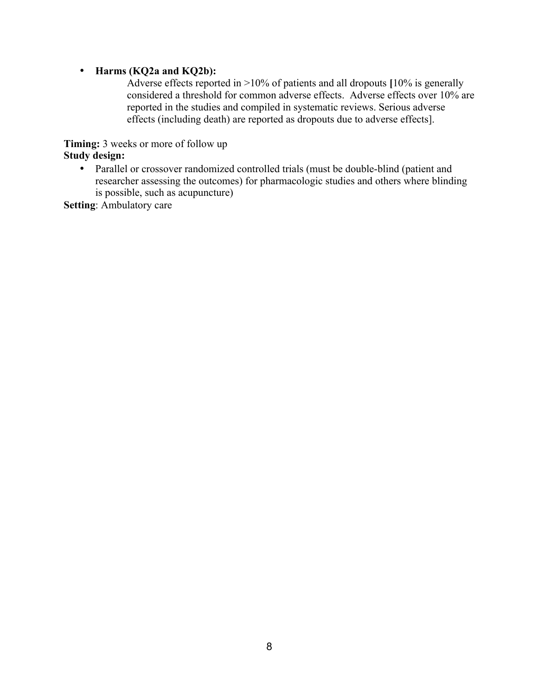#### • **Harms (KQ2a and KQ2b):**

Adverse effects reported in >10% of patients and all dropouts **[**10% is generally considered a threshold for common adverse effects. Adverse effects over 10% are reported in the studies and compiled in systematic reviews. Serious adverse effects (including death) are reported as dropouts due to adverse effects].

**Timing:** 3 weeks or more of follow up **Study design:** 

> • Parallel or crossover randomized controlled trials (must be double-blind (patient and researcher assessing the outcomes) for pharmacologic studies and others where blinding is possible, such as acupuncture)

**Setting**: Ambulatory care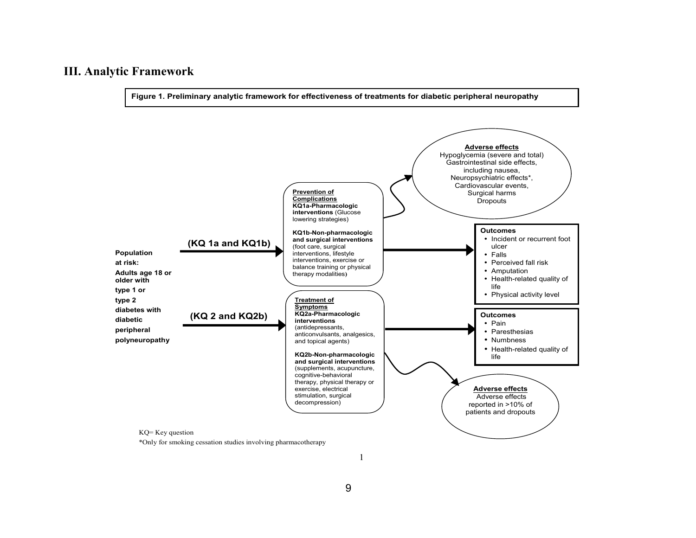### **III. Analytic Framework**

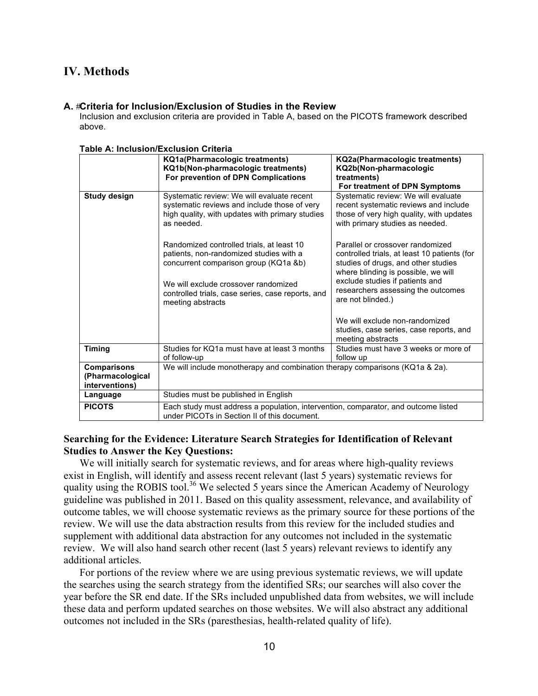### **IV. Methods**

#### **A.** #**Criteria for Inclusion/Exclusion of Studies in the Review**

Inclusion and exclusion criteria are provided in Table A, based on the PICOTS framework described above.

| Table A. McNusion/Exclusion Chiena                       |                                                                                                                                                             |                                                                                                                                                                |
|----------------------------------------------------------|-------------------------------------------------------------------------------------------------------------------------------------------------------------|----------------------------------------------------------------------------------------------------------------------------------------------------------------|
|                                                          | <b>KQ1a(Pharmacologic treatments)</b><br>KQ1b(Non-pharmacologic treatments)<br>For prevention of DPN Complications                                          | <b>KQ2a(Pharmacologic treatments)</b><br>KQ2b(Non-pharmacologic<br>treatments)<br>For treatment of DPN Symptoms                                                |
| <b>Study design</b>                                      | Systematic review: We will evaluate recent<br>systematic reviews and include those of very<br>high quality, with updates with primary studies<br>as needed. | Systematic review: We will evaluate<br>recent systematic reviews and include<br>those of very high quality, with updates<br>with primary studies as needed.    |
|                                                          | Randomized controlled trials, at least 10<br>patients, non-randomized studies with a<br>concurrent comparison group (KQ1a &b)                               | Parallel or crossover randomized<br>controlled trials, at least 10 patients (for<br>studies of drugs, and other studies<br>where blinding is possible, we will |
|                                                          | We will exclude crossover randomized<br>controlled trials, case series, case reports, and<br>meeting abstracts                                              | exclude studies if patients and<br>researchers assessing the outcomes<br>are not blinded.)                                                                     |
|                                                          |                                                                                                                                                             | We will exclude non-randomized<br>studies, case series, case reports, and<br>meeting abstracts                                                                 |
| Timing                                                   | Studies for KQ1a must have at least 3 months<br>of follow-up                                                                                                | Studies must have 3 weeks or more of<br>follow up                                                                                                              |
| <b>Comparisons</b><br>(Pharmacological<br>interventions) | We will include monotherapy and combination therapy comparisons (KQ1a & 2a).                                                                                |                                                                                                                                                                |
| Language                                                 | Studies must be published in English                                                                                                                        |                                                                                                                                                                |
| <b>PICOTS</b>                                            | Each study must address a population, intervention, comparator, and outcome listed<br>under PICOTs in Section II of this document.                          |                                                                                                                                                                |

 **Table A: Inclusion/Exclusion Criteria** 

#### **Searching for the Evidence: Literature Search Strategies for Identification of Relevant Studies to Answer the Key Questions:**

We will initially search for systematic reviews, and for areas where high-quality reviews exist in English, will identify and assess recent relevant (last 5 years) systematic reviews for quality using the ROBIS tool.<sup>36</sup> We selected 5 years since the American Academy of Neurology guideline was published in 2011. Based on this quality assessment, relevance, and availability of outcome tables, we will choose systematic reviews as the primary source for these portions of the review. We will use the data abstraction results from this review for the included studies and supplement with additional data abstraction for any outcomes not included in the systematic review. We will also hand search other recent (last 5 years) relevant reviews to identify any additional articles.

For portions of the review where we are using previous systematic reviews, we will update the searches using the search strategy from the identified SRs; our searches will also cover the year before the SR end date. If the SRs included unpublished data from websites, we will include these data and perform updated searches on those websites. We will also abstract any additional outcomes not included in the SRs (paresthesias, health-related quality of life).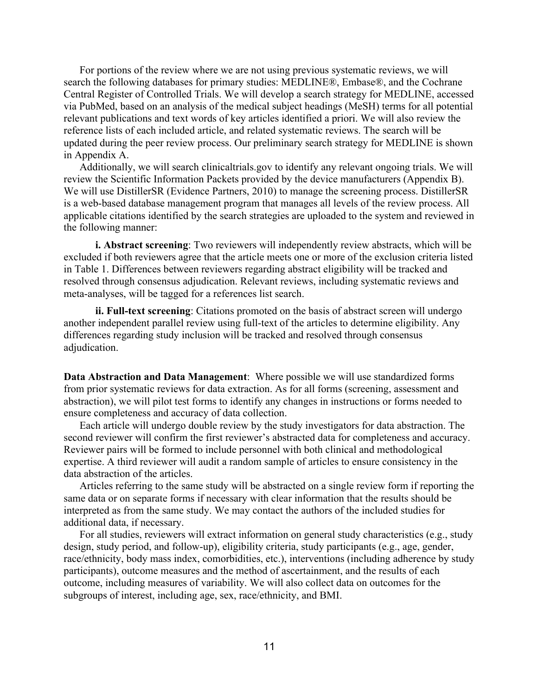For portions of the review where we are not using previous systematic reviews, we will search the following databases for primary studies: MEDLINE®, Embase®, and the Cochrane Central Register of Controlled Trials. We will develop a search strategy for MEDLINE, accessed via PubMed, based on an analysis of the medical subject headings (MeSH) terms for all potential relevant publications and text words of key articles identified a priori. We will also review the reference lists of each included article, and related systematic reviews. The search will be updated during the peer review process. Our preliminary search strategy for MEDLINE is shown in Appendix A.

Additionally, we will search clinicaltrials.gov to identify any relevant ongoing trials. We will review the Scientific Information Packets provided by the device manufacturers (Appendix B). We will use DistillerSR (Evidence Partners, 2010) to manage the screening process. DistillerSR is a web-based database management program that manages all levels of the review process. All applicable citations identified by the search strategies are uploaded to the system and reviewed in the following manner:

**i. Abstract screening**: Two reviewers will independently review abstracts, which will be excluded if both reviewers agree that the article meets one or more of the exclusion criteria listed in Table 1. Differences between reviewers regarding abstract eligibility will be tracked and resolved through consensus adjudication. Relevant reviews, including systematic reviews and meta-analyses, will be tagged for a references list search.

**ii. Full-text screening**: Citations promoted on the basis of abstract screen will undergo another independent parallel review using full-text of the articles to determine eligibility. Any differences regarding study inclusion will be tracked and resolved through consensus adjudication.

 **Data Abstraction and Data Management**: Where possible we will use standardized forms from prior systematic reviews for data extraction. As for all forms (screening, assessment and abstraction), we will pilot test forms to identify any changes in instructions or forms needed to ensure completeness and accuracy of data collection.

Each article will undergo double review by the study investigators for data abstraction. The second reviewer will confirm the first reviewer's abstracted data for completeness and accuracy. Reviewer pairs will be formed to include personnel with both clinical and methodological expertise. A third reviewer will audit a random sample of articles to ensure consistency in the data abstraction of the articles.

Articles referring to the same study will be abstracted on a single review form if reporting the same data or on separate forms if necessary with clear information that the results should be interpreted as from the same study. We may contact the authors of the included studies for additional data, if necessary.

For all studies, reviewers will extract information on general study characteristics (e.g., study design, study period, and follow-up), eligibility criteria, study participants (e.g., age, gender, race/ethnicity, body mass index, comorbidities, etc.), interventions (including adherence by study participants), outcome measures and the method of ascertainment, and the results of each outcome, including measures of variability. We will also collect data on outcomes for the subgroups of interest, including age, sex, race/ethnicity, and BMI.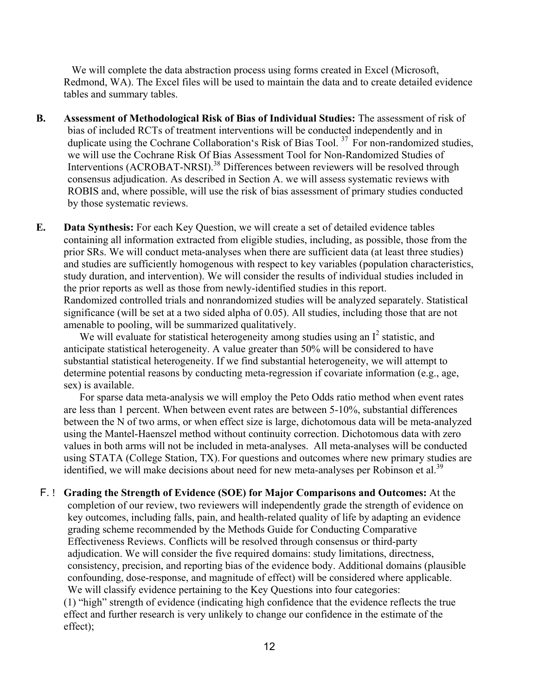We will complete the data abstraction process using forms created in Excel (Microsoft, Redmond, WA). The Excel files will be used to maintain the data and to create detailed evidence tables and summary tables.

- **B. Assessment of Methodological Risk of Bias of Individual Studies:** The assessment of risk of bias of included RCTs of treatment interventions will be conducted independently and in duplicate using the Cochrane Collaboration's Risk of Bias Tool.<sup>37</sup> For non-randomized studies, we will use the Cochrane Risk Of Bias Assessment Tool for Non-Randomized Studies of Interventions (ACROBAT-NRSI).<sup>38</sup> Differences between reviewers will be resolved through consensus adjudication. As described in Section A. we will assess systematic reviews with ROBIS and, where possible, will use the risk of bias assessment of primary studies conducted by those systematic reviews.
- **E. Data Synthesis:** For each Key Question, we will create a set of detailed evidence tables containing all information extracted from eligible studies, including, as possible, those from the prior SRs. We will conduct meta-analyses when there are sufficient data (at least three studies) and studies are sufficiently homogenous with respect to key variables (population characteristics, study duration, and intervention). We will consider the results of individual studies included in the prior reports as well as those from newly-identified studies in this report. Randomized controlled trials and nonrandomized studies will be analyzed separately. Statistical significance (will be set at a two sided alpha of 0.05). All studies, including those that are not amenable to pooling, will be summarized qualitatively.

We will evaluate for statistical heterogeneity among studies using an  $I^2$  statistic, and anticipate statistical heterogeneity. A value greater than 50% will be considered to have substantial statistical heterogeneity. If we find substantial heterogeneity, we will attempt to determine potential reasons by conducting meta-regression if covariate information (e.g., age, sex) is available.

For sparse data meta-analysis we will employ the Peto Odds ratio method when event rates are less than 1 percent. When between event rates are between 5-10%, substantial differences between the N of two arms, or when effect size is large, dichotomous data will be meta-analyzed using the Mantel-Haenszel method without continuity correction. Dichotomous data with zero values in both arms will not be included in meta-analyses. All meta-analyses will be conducted using STATA (College Station, TX). For questions and outcomes where new primary studies are identified, we will make decisions about need for new meta-analyses per Robinson et al.<sup>39</sup>

F. ! Grading the Strength of Evidence (SOE) for Major Comparisons and Outcomes: At the completion of our review, two reviewers will independently grade the strength of evidence on key outcomes, including falls, pain, and health-related quality of life by adapting an evidence grading scheme recommended by the Methods Guide for Conducting Comparative Effectiveness Reviews. Conflicts will be resolved through consensus or third-party adjudication. We will consider the five required domains: study limitations, directness, consistency, precision, and reporting bias of the evidence body. Additional domains (plausible confounding, dose-response, and magnitude of effect) will be considered where applicable. We will classify evidence pertaining to the Key Questions into four categories: (1) "high" strength of evidence (indicating high confidence that the evidence reflects the true

effect and further research is very unlikely to change our confidence in the estimate of the effect);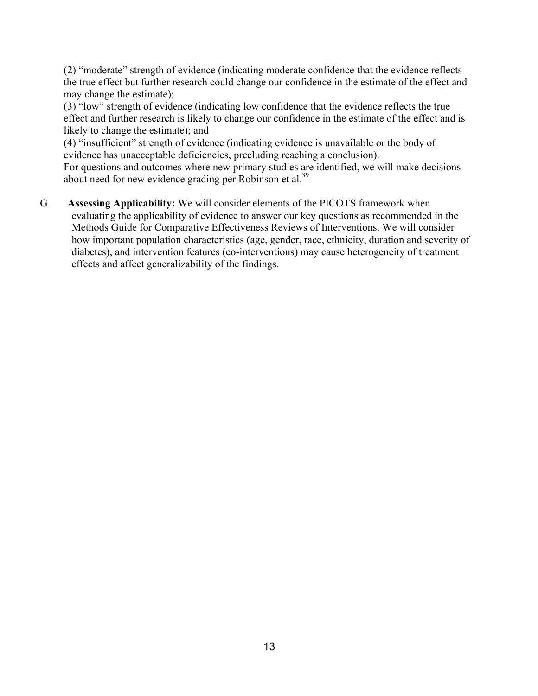(2) "moderate" strength of evidence (indicating moderate confidence that the evidence reflects the true effect but further research could change our confidence in the estimate of the effect and may change the estimate);

(3) "low" strength of evidence (indicating low confidence that the evidence reflects the true effect and further research is likely to change our confidence in the estimate of the effect and is likely to change the estimate); and

(4) "insufficient" strength of evidence (indicating evidence is unavailable or the body of evidence has unacceptable deficiencies, precluding reaching a conclusion).

For questions and outcomes where new primary studies are identified, we will make decisions about need for new evidence grading per Robinson et al.<sup>39</sup>

G. **Assessing Applicability:** We will consider elements of the PICOTS framework when evaluating the applicability of evidence to answer our key questions as recommended in the Methods Guide for Comparative Effectiveness Reviews of Interventions. We will consider how important population characteristics (age, gender, race, ethnicity, duration and severity of diabetes), and intervention features (co-interventions) may cause heterogeneity of treatment effects and affect generalizability of the findings.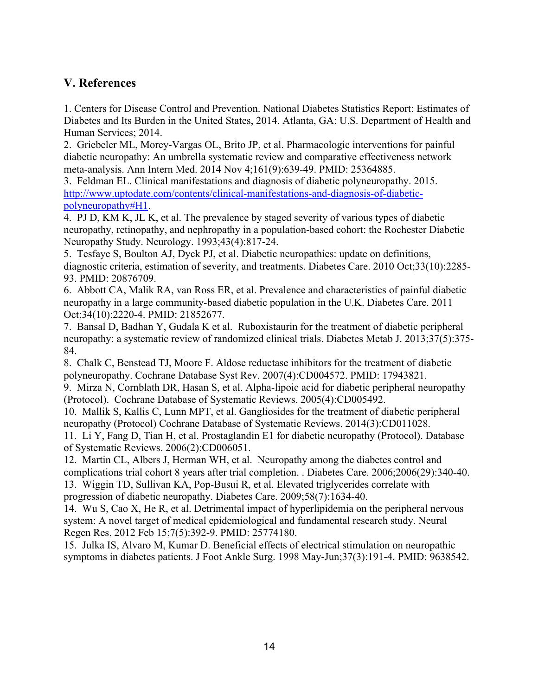### **V. References**

1. Centers for Disease Control and Prevention. National Diabetes Statistics Report: Estimates of Diabetes and Its Burden in the United States, 2014. Atlanta, GA: U.S. Department of Health and Human Services; 2014.

2. Griebeler ML, Morey-Vargas OL, Brito JP, et al. Pharmacologic interventions for painful diabetic neuropathy: An umbrella systematic review and comparative effectiveness network meta-analysis. Ann Intern Med. 2014 Nov 4;161(9):639-49. PMID: 25364885.

3. Feldman EL. Clinical manifestations and diagnosis of diabetic polyneuropathy. 2015. http://www.uptodate.com/contents/clinical-manifestations-and-diagnosis-of-diabeticpolyneuropathy#H1.

4. PJ D, KM K, JL K, et al. The prevalence by staged severity of various types of diabetic neuropathy, retinopathy, and nephropathy in a population-based cohort: the Rochester Diabetic Neuropathy Study. Neurology. 1993;43(4):817-24.

5. Tesfaye S, Boulton AJ, Dyck PJ, et al. Diabetic neuropathies: update on definitions, diagnostic criteria, estimation of severity, and treatments. Diabetes Care. 2010 Oct;33(10):2285- 93. PMID: 20876709.

6. Abbott CA, Malik RA, van Ross ER, et al. Prevalence and characteristics of painful diabetic neuropathy in a large community-based diabetic population in the U.K. Diabetes Care. 2011 Oct;34(10):2220-4. PMID: 21852677.

7. Bansal D, Badhan Y, Gudala K et al. Ruboxistaurin for the treatment of diabetic peripheral neuropathy: a systematic review of randomized clinical trials. Diabetes Metab J. 2013;37(5):375- 84.

8. Chalk C, Benstead TJ, Moore F. Aldose reductase inhibitors for the treatment of diabetic polyneuropathy. Cochrane Database Syst Rev. 2007(4):CD004572. PMID: 17943821.

9. Mirza N, Cornblath DR, Hasan S, et al. Alpha-lipoic acid for diabetic peripheral neuropathy (Protocol). Cochrane Database of Systematic Reviews. 2005(4):CD005492.

10. Mallik S, Kallis C, Lunn MPT, et al. Gangliosides for the treatment of diabetic peripheral neuropathy (Protocol) Cochrane Database of Systematic Reviews. 2014(3):CD011028.

11. Li Y, Fang D, Tian H, et al. Prostaglandin E1 for diabetic neuropathy (Protocol). Database of Systematic Reviews. 2006(2):CD006051.

12. Martin CL, Albers J, Herman WH, et al. Neuropathy among the diabetes control and complications trial cohort 8 years after trial completion. . Diabetes Care. 2006;2006(29):340-40. 13. Wiggin TD, Sullivan KA, Pop-Busui R, et al. Elevated triglycerides correlate with progression of diabetic neuropathy. Diabetes Care. 2009;58(7):1634-40.

14. Wu S, Cao X, He R, et al. Detrimental impact of hyperlipidemia on the peripheral nervous system: A novel target of medical epidemiological and fundamental research study. Neural Regen Res. 2012 Feb 15;7(5):392-9. PMID: 25774180.

15. Julka IS, Alvaro M, Kumar D. Beneficial effects of electrical stimulation on neuropathic symptoms in diabetes patients. J Foot Ankle Surg. 1998 May-Jun;37(3):191-4. PMID: 9638542.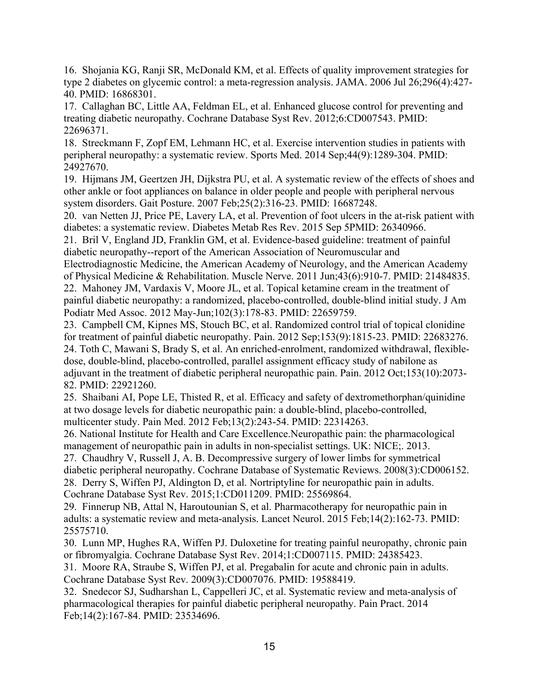16. Shojania KG, Ranji SR, McDonald KM, et al. Effects of quality improvement strategies for type 2 diabetes on glycemic control: a meta-regression analysis. JAMA. 2006 Jul 26;296(4):427- 40. PMID: 16868301.

17. Callaghan BC, Little AA, Feldman EL, et al. Enhanced glucose control for preventing and treating diabetic neuropathy. Cochrane Database Syst Rev. 2012;6:CD007543. PMID: 22696371.

18. Streckmann F, Zopf EM, Lehmann HC, et al. Exercise intervention studies in patients with peripheral neuropathy: a systematic review. Sports Med. 2014 Sep;44(9):1289-304. PMID: 24927670.

19. Hijmans JM, Geertzen JH, Dijkstra PU, et al. A systematic review of the effects of shoes and other ankle or foot appliances on balance in older people and people with peripheral nervous system disorders. Gait Posture. 2007 Feb;25(2):316-23. PMID: 16687248.

20. van Netten JJ, Price PE, Lavery LA, et al. Prevention of foot ulcers in the at-risk patient with diabetes: a systematic review. Diabetes Metab Res Rev. 2015 Sep 5PMID: 26340966.

21. Bril V, England JD, Franklin GM, et al. Evidence-based guideline: treatment of painful diabetic neuropathy--report of the American Association of Neuromuscular and

Electrodiagnostic Medicine, the American Academy of Neurology, and the American Academy of Physical Medicine & Rehabilitation. Muscle Nerve. 2011 Jun;43(6):910-7. PMID: 21484835.

22. Mahoney JM, Vardaxis V, Moore JL, et al. Topical ketamine cream in the treatment of painful diabetic neuropathy: a randomized, placebo-controlled, double-blind initial study. J Am Podiatr Med Assoc. 2012 May-Jun;102(3):178-83. PMID: 22659759.

23. Campbell CM, Kipnes MS, Stouch BC, et al. Randomized control trial of topical clonidine for treatment of painful diabetic neuropathy. Pain. 2012 Sep;153(9):1815-23. PMID: 22683276. 24. Toth C, Mawani S, Brady S, et al. An enriched-enrolment, randomized withdrawal, flexibledose, double-blind, placebo-controlled, parallel assignment efficacy study of nabilone as adjuvant in the treatment of diabetic peripheral neuropathic pain. Pain. 2012 Oct;153(10):2073- 82. PMID: 22921260.

25. Shaibani AI, Pope LE, Thisted R, et al. Efficacy and safety of dextromethorphan/quinidine at two dosage levels for diabetic neuropathic pain: a double-blind, placebo-controlled, multicenter study. Pain Med. 2012 Feb;13(2):243-54. PMID: 22314263.

26. National Institute for Health and Care Excellence.Neuropathic pain: the pharmacological management of neuropathic pain in adults in non-specialist settings. UK: NICE;. 2013.

27. Chaudhry V, Russell J, A. B. Decompressive surgery of lower limbs for symmetrical diabetic peripheral neuropathy. Cochrane Database of Systematic Reviews. 2008(3):CD006152. 28. Derry S, Wiffen PJ, Aldington D, et al. Nortriptyline for neuropathic pain in adults. Cochrane Database Syst Rev. 2015;1:CD011209. PMID: 25569864.

29. Finnerup NB, Attal N, Haroutounian S, et al. Pharmacotherapy for neuropathic pain in adults: a systematic review and meta-analysis. Lancet Neurol. 2015 Feb;14(2):162-73. PMID: 25575710.

30. Lunn MP, Hughes RA, Wiffen PJ. Duloxetine for treating painful neuropathy, chronic pain or fibromyalgia. Cochrane Database Syst Rev. 2014;1:CD007115. PMID: 24385423.

31. Moore RA, Straube S, Wiffen PJ, et al. Pregabalin for acute and chronic pain in adults. Cochrane Database Syst Rev. 2009(3):CD007076. PMID: 19588419.

32. Snedecor SJ, Sudharshan L, Cappelleri JC, et al. Systematic review and meta-analysis of pharmacological therapies for painful diabetic peripheral neuropathy. Pain Pract. 2014 Feb;14(2):167-84. PMID: 23534696.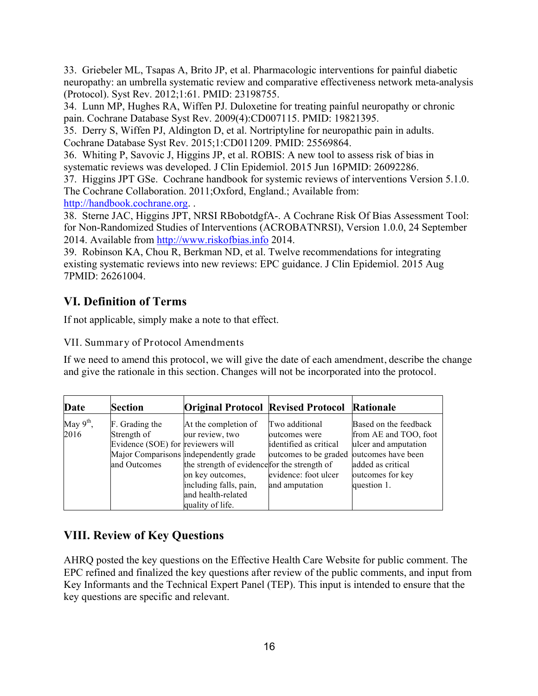33. Griebeler ML, Tsapas A, Brito JP, et al. Pharmacologic interventions for painful diabetic neuropathy: an umbrella systematic review and comparative effectiveness network meta-analysis (Protocol). Syst Rev. 2012;1:61. PMID: 23198755.

34. Lunn MP, Hughes RA, Wiffen PJ. Duloxetine for treating painful neuropathy or chronic pain. Cochrane Database Syst Rev. 2009(4):CD007115. PMID: 19821395.

35. Derry S, Wiffen PJ, Aldington D, et al. Nortriptyline for neuropathic pain in adults. Cochrane Database Syst Rev. 2015;1:CD011209. PMID: 25569864.

36. Whiting P, Savovic J, Higgins JP, et al. ROBIS: A new tool to assess risk of bias in systematic reviews was developed. J Clin Epidemiol. 2015 Jun 16PMID: 26092286.

37. Higgins JPT GSe. Cochrane handbook for systemic reviews of interventions Version 5.1.0. The Cochrane Collaboration. 2011;Oxford, England.; Available from: http://handbook.cochrane.org. .

38. Sterne JAC, Higgins JPT, NRSI RBobotdgfA-. A Cochrane Risk Of Bias Assessment Tool: for Non-Randomized Studies of Interventions (ACROBATNRSI), Version 1.0.0, 24 September 2014. Available from http://www.riskofbias.info 2014.

39. Robinson KA, Chou R, Berkman ND, et al. Twelve recommendations for integrating existing systematic reviews into new reviews: EPC guidance. J Clin Epidemiol. 2015 Aug 7PMID: 26261004.

## **VI. Definition of Terms**

If not applicable, simply make a note to that effect.

### VII. Summary of Protocol Amendments

If we need to amend this protocol, we will give the date of each amendment, describe the change and give the rationale in this section. Changes will not be incorporated into the protocol.

| <b>Section</b> |                                               | <b>Original Protocol Revised Protocol Rationale</b>                                                                                                                                                           |                                                                                                                                                                                                 |
|----------------|-----------------------------------------------|---------------------------------------------------------------------------------------------------------------------------------------------------------------------------------------------------------------|-------------------------------------------------------------------------------------------------------------------------------------------------------------------------------------------------|
|                |                                               |                                                                                                                                                                                                               | Based on the feedback<br>from AE and TOO, foot<br>ulcer and amputation<br>added as critical<br>outcomes for key<br>question 1.                                                                  |
|                | F. Grading the<br>Strength of<br>and Outcomes | At the completion of<br>our review, two<br>Evidence (SOE) for reviewers will<br>Major Comparisons independently grade<br>on key outcomes,<br>including falls, pain,<br>and health-related<br>quality of life. | Two additional<br>outcomes were<br>identified as critical<br>outcomes to be graded outcomes have been<br>the strength of evidence for the strength of<br>evidence: foot ulcer<br>and amputation |

## **VIII. Review of Key Questions**

AHRQ posted the key questions on the Effective Health Care Website for public comment. The EPC refined and finalized the key questions after review of the public comments, and input from Key Informants and the Technical Expert Panel (TEP). This input is intended to ensure that the key questions are specific and relevant.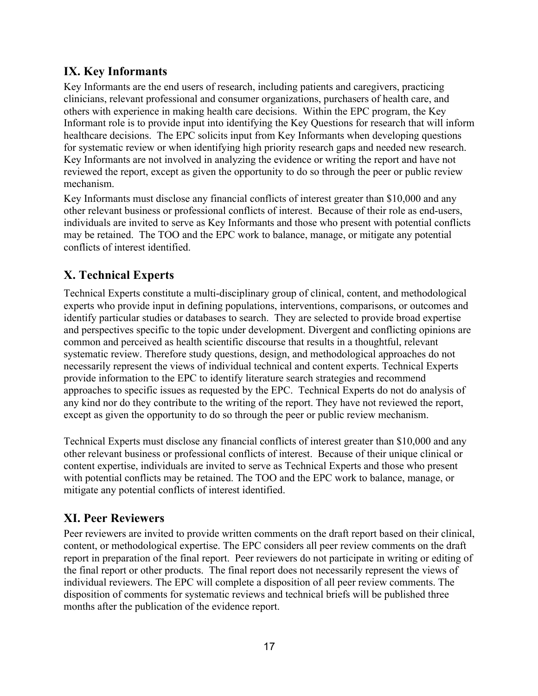## **IX. Key Informants**

Key Informants are the end users of research, including patients and caregivers, practicing clinicians, relevant professional and consumer organizations, purchasers of health care, and others with experience in making health care decisions. Within the EPC program, the Key Informant role is to provide input into identifying the Key Questions for research that will inform healthcare decisions. The EPC solicits input from Key Informants when developing questions for systematic review or when identifying high priority research gaps and needed new research. Key Informants are not involved in analyzing the evidence or writing the report and have not reviewed the report, except as given the opportunity to do so through the peer or public review mechanism.

Key Informants must disclose any financial conflicts of interest greater than \$10,000 and any other relevant business or professional conflicts of interest. Because of their role as end-users, individuals are invited to serve as Key Informants and those who present with potential conflicts may be retained. The TOO and the EPC work to balance, manage, or mitigate any potential conflicts of interest identified.

## **X. Technical Experts**

Technical Experts constitute a multi-disciplinary group of clinical, content, and methodological experts who provide input in defining populations, interventions, comparisons, or outcomes and identify particular studies or databases to search. They are selected to provide broad expertise and perspectives specific to the topic under development. Divergent and conflicting opinions are common and perceived as health scientific discourse that results in a thoughtful, relevant systematic review. Therefore study questions, design, and methodological approaches do not necessarily represent the views of individual technical and content experts. Technical Experts provide information to the EPC to identify literature search strategies and recommend approaches to specific issues as requested by the EPC. Technical Experts do not do analysis of any kind nor do they contribute to the writing of the report. They have not reviewed the report, except as given the opportunity to do so through the peer or public review mechanism.

Technical Experts must disclose any financial conflicts of interest greater than \$10,000 and any other relevant business or professional conflicts of interest. Because of their unique clinical or content expertise, individuals are invited to serve as Technical Experts and those who present with potential conflicts may be retained. The TOO and the EPC work to balance, manage, or mitigate any potential conflicts of interest identified.

## **XI. Peer Reviewers**

Peer reviewers are invited to provide written comments on the draft report based on their clinical, content, or methodological expertise. The EPC considers all peer review comments on the draft report in preparation of the final report. Peer reviewers do not participate in writing or editing of the final report or other products. The final report does not necessarily represent the views of individual reviewers. The EPC will complete a disposition of all peer review comments. The disposition of comments for systematic reviews and technical briefs will be published three months after the publication of the evidence report.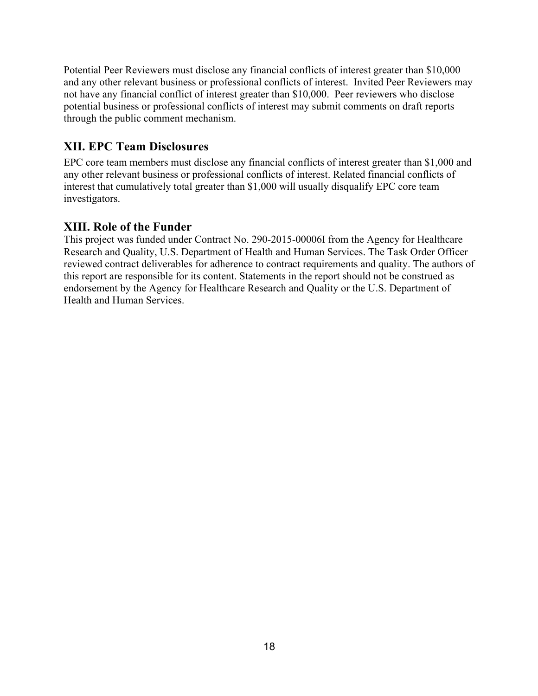Potential Peer Reviewers must disclose any financial conflicts of interest greater than \$10,000 and any other relevant business or professional conflicts of interest. Invited Peer Reviewers may not have any financial conflict of interest greater than \$10,000. Peer reviewers who disclose potential business or professional conflicts of interest may submit comments on draft reports through the public comment mechanism.

## **XII. EPC Team Disclosures**

EPC core team members must disclose any financial conflicts of interest greater than \$1,000 and any other relevant business or professional conflicts of interest. Related financial conflicts of interest that cumulatively total greater than \$1,000 will usually disqualify EPC core team investigators.

## **XIII. Role of the Funder**

This project was funded under Contract No. 290-2015-00006I from the Agency for Healthcare Research and Quality, U.S. Department of Health and Human Services. The Task Order Officer reviewed contract deliverables for adherence to contract requirements and quality. The authors of this report are responsible for its content. Statements in the report should not be construed as endorsement by the Agency for Healthcare Research and Quality or the U.S. Department of Health and Human Services.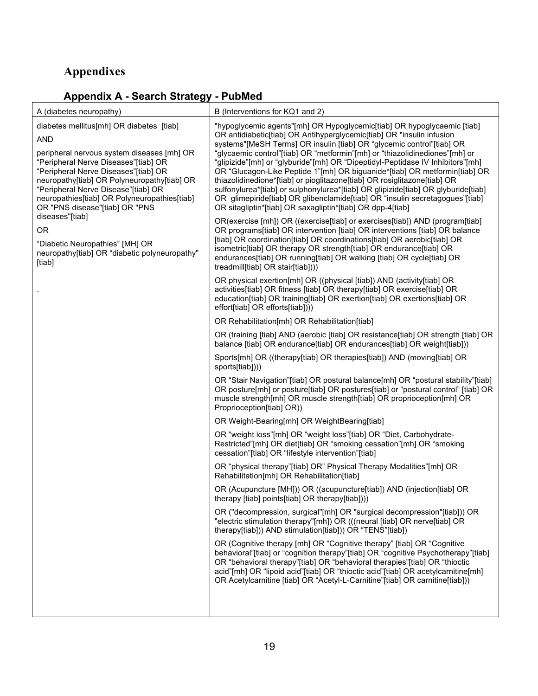# **Appendixes**

## **Appendix A - Search Strategy - PubMed**

| A (diabetes neuropathy)                                                                                                                                                                                                                                                                                                                                      | B (Interventions for KQ1 and 2)                                                                                                                                                                                                                                                                                                                                                                                                                                                                                                                                                                                                                                                                                                                                                         |
|--------------------------------------------------------------------------------------------------------------------------------------------------------------------------------------------------------------------------------------------------------------------------------------------------------------------------------------------------------------|-----------------------------------------------------------------------------------------------------------------------------------------------------------------------------------------------------------------------------------------------------------------------------------------------------------------------------------------------------------------------------------------------------------------------------------------------------------------------------------------------------------------------------------------------------------------------------------------------------------------------------------------------------------------------------------------------------------------------------------------------------------------------------------------|
| diabetes mellitus[mh] OR diabetes [tiab]<br><b>AND</b><br>peripheral nervous system diseases [mh] OR<br>"Peripheral Nerve Diseases"[tiab] OR<br>"Peripheral Nerve Diseases"[tiab] OR<br>neuropathy[tiab] OR Polyneuropathy[tiab] OR<br>"Peripheral Nerve Disease"[tiab] OR<br>neuropathies[tiab] OR Polyneuropathies[tiab]<br>OR "PNS disease"[tiab] OR "PNS | "hypoglycemic agents"[mh] OR Hypoglycemic[tiab] OR hypoglycaemic [tiab]<br>OR antidiabetic[tiab] OR Antihyperglycemic[tiab] OR "insulin infusion<br>systems"[MeSH Terms] OR insulin [tiab] OR "glycemic control"[tiab] OR<br>"glycaemic control"[tiab] OR "metformin"[mh] or "thiazolidinediones"[mh] or<br>"glipizide"[mh] or "glyburide"[mh] OR "Dipeptidyl-Peptidase IV Inhibitors"[mh]<br>OR "Glucagon-Like Peptide 1"[mh] OR biguanide*[tiab] OR metformin[tiab] OR<br>thiazolidinedione*[tiab] or pioglitazone[tiab] OR rosiglitazone[tiab] OR<br>sulfonylurea*[tiab] or sulphonylurea*[tiab] OR glipizide[tiab] OR glyburide[tiab]<br>OR glimepiride[tiab] OR glibenclamide[tiab] OR "insulin secretagogues"[tiab]<br>OR sitagliptin*[tiab] OR saxagliptin*[tiab] OR dpp-4[tiab] |
| diseases"[tiab]<br><b>OR</b><br>"Diabetic Neuropathies" [MH] OR<br>neuropathy[tiab] OR "diabetic polyneuropathy"<br>[tiab]                                                                                                                                                                                                                                   | OR(exercise [mh]) OR ((exercise[tiab] or exercises[tiab]) AND (program[tiab]<br>OR programs[tiab] OR intervention [tiab] OR interventions [tiab] OR balance<br>[tiab] OR coordination[tiab] OR coordinations[tiab] OR aerobic[tiab] OR<br>isometric[tiab] OR therapy OR strength[tiab] OR endurance[tiab] OR<br>endurances[tiab] OR running[tiab] OR walking [tiab] OR cycle[tiab] OR<br>treadmill[tiab] OR stair[tiab])))                                                                                                                                                                                                                                                                                                                                                              |
|                                                                                                                                                                                                                                                                                                                                                              | OR physical exertion[mh] OR ((physical [tiab]) AND (activity[tiab] OR<br>activities[tiab] OR fitness [tiab] OR therapy[tiab] OR exercise[tiab] OR<br>education[tiab] OR training[tiab] OR exertion[tiab] OR exertions[tiab] OR<br>effort[tiab] OR efforts[tiab])))                                                                                                                                                                                                                                                                                                                                                                                                                                                                                                                      |
|                                                                                                                                                                                                                                                                                                                                                              | OR Rehabilitation[mh] OR Rehabilitation[tiab]                                                                                                                                                                                                                                                                                                                                                                                                                                                                                                                                                                                                                                                                                                                                           |
|                                                                                                                                                                                                                                                                                                                                                              | OR (training [tiab] AND (aerobic [tiab] OR resistance[tiab] OR strength [tiab] OR<br>balance [tiab] OR endurance[tiab] OR endurances[tiab] OR weight[tiab]))                                                                                                                                                                                                                                                                                                                                                                                                                                                                                                                                                                                                                            |
|                                                                                                                                                                                                                                                                                                                                                              | Sports[mh] OR ((therapy[tiab] OR therapies[tiab]) AND (moving[tiab] OR<br>sports[tiab])))                                                                                                                                                                                                                                                                                                                                                                                                                                                                                                                                                                                                                                                                                               |
|                                                                                                                                                                                                                                                                                                                                                              | OR "Stair Navigation"[tiab] OR postural balance[mh] OR "postural stability"[tiab]<br>OR posture[mh] or posture[tiab] OR postures[tiab] or "postural control" [tiab] OR<br>muscle strength[mh] OR muscle strength[tiab] OR proprioception[mh] OR<br>Proprioception[tiab] OR))                                                                                                                                                                                                                                                                                                                                                                                                                                                                                                            |
|                                                                                                                                                                                                                                                                                                                                                              | OR Weight-Bearing[mh] OR WeightBearing[tiab]                                                                                                                                                                                                                                                                                                                                                                                                                                                                                                                                                                                                                                                                                                                                            |
|                                                                                                                                                                                                                                                                                                                                                              | OR "weight loss"[mh] OR "weight loss"[tiab] OR "Diet, Carbohydrate-<br>Restricted"[mh] OR diet[tiab] OR "smoking cessation"[mh] OR "smoking<br>cessation"[tiab] OR "lifestyle intervention"[tiab]                                                                                                                                                                                                                                                                                                                                                                                                                                                                                                                                                                                       |
|                                                                                                                                                                                                                                                                                                                                                              | OR "physical therapy"[tiab] OR" Physical Therapy Modalities"[mh] OR<br>Rehabilitation[mh] OR Rehabilitation[tiab]                                                                                                                                                                                                                                                                                                                                                                                                                                                                                                                                                                                                                                                                       |
|                                                                                                                                                                                                                                                                                                                                                              | OR (Acupuncture [MH])) OR ((acupuncture[tiab]) AND (injection[tiab] OR<br>therapy [tiab] points[tiab] OR therapy[tiab])))                                                                                                                                                                                                                                                                                                                                                                                                                                                                                                                                                                                                                                                               |
|                                                                                                                                                                                                                                                                                                                                                              | OR ("decompression, surgical"[mh] OR "surgical decompression"[tiab])) OR<br>"electric stimulation therapy"[mh]) OR (((neural [tiab] OR nerve[tiab] OR<br>therapy[tiab])) AND stimulation[tiab])) OR "TENS"[tiab])                                                                                                                                                                                                                                                                                                                                                                                                                                                                                                                                                                       |
|                                                                                                                                                                                                                                                                                                                                                              | OR (Cognitive therapy [mh] OR "Cognitive therapy" [tiab] OR "Cognitive<br>behavioral"[tiab] or "cognition therapy"[tiab] OR "cognitive Psychotherapy"[tiab]<br>OR "behavioral therapy"[tiab] OR "behavioral therapies"[tiab] OR "thioctic<br>acid"[mh] OR "lipoid acid"[tiab] OR "thioctic acid"[tiab] OR acetylcarnitine[mh]<br>OR Acetylcarnitine [tiab] OR "Acetyl-L-Carnitine"[tiab] OR carnitine[tiab]))                                                                                                                                                                                                                                                                                                                                                                           |
|                                                                                                                                                                                                                                                                                                                                                              |                                                                                                                                                                                                                                                                                                                                                                                                                                                                                                                                                                                                                                                                                                                                                                                         |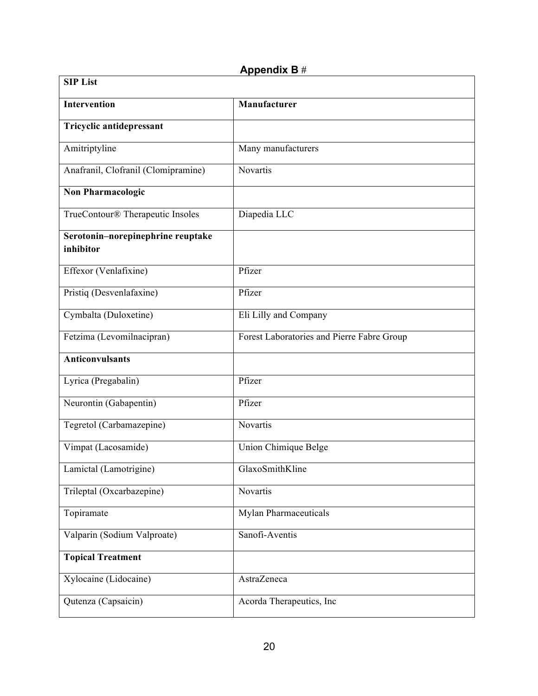### **Appendix B** #

| <b>SIP List</b>                                |                                            |  |
|------------------------------------------------|--------------------------------------------|--|
| Intervention                                   | Manufacturer                               |  |
| Tricyclic antidepressant                       |                                            |  |
| Amitriptyline                                  | Many manufacturers                         |  |
| Anafranil, Clofranil (Clomipramine)            | Novartis                                   |  |
| <b>Non Pharmacologic</b>                       |                                            |  |
| TrueContour® Therapeutic Insoles               | Diapedia LLC                               |  |
| Serotonin-norepinephrine reuptake<br>inhibitor |                                            |  |
| Effexor (Venlafixine)                          | Pfizer                                     |  |
| Pristiq (Desvenlafaxine)                       | Pfizer                                     |  |
| Cymbalta (Duloxetine)                          | Eli Lilly and Company                      |  |
| Fetzima (Levomilnacipran)                      | Forest Laboratories and Pierre Fabre Group |  |
| <b>Anticonvulsants</b>                         |                                            |  |
| Lyrica (Pregabalin)                            | Pfizer                                     |  |
| Neurontin (Gabapentin)                         | Pfizer                                     |  |
| Tegretol (Carbamazepine)                       | Novartis                                   |  |
| Vimpat (Lacosamide)                            | Union Chimique Belge                       |  |
| Lamictal (Lamotrigine)                         | GlaxoSmithKline                            |  |
| Trileptal (Oxcarbazepine)                      | Novartis                                   |  |
| Topiramate                                     | <b>Mylan Pharmaceuticals</b>               |  |
| Valparin (Sodium Valproate)                    | Sanofi-Aventis                             |  |
| <b>Topical Treatment</b>                       |                                            |  |
| Xylocaine (Lidocaine)                          | AstraZeneca                                |  |
| Qutenza (Capsaicin)                            | Acorda Therapeutics, Inc                   |  |